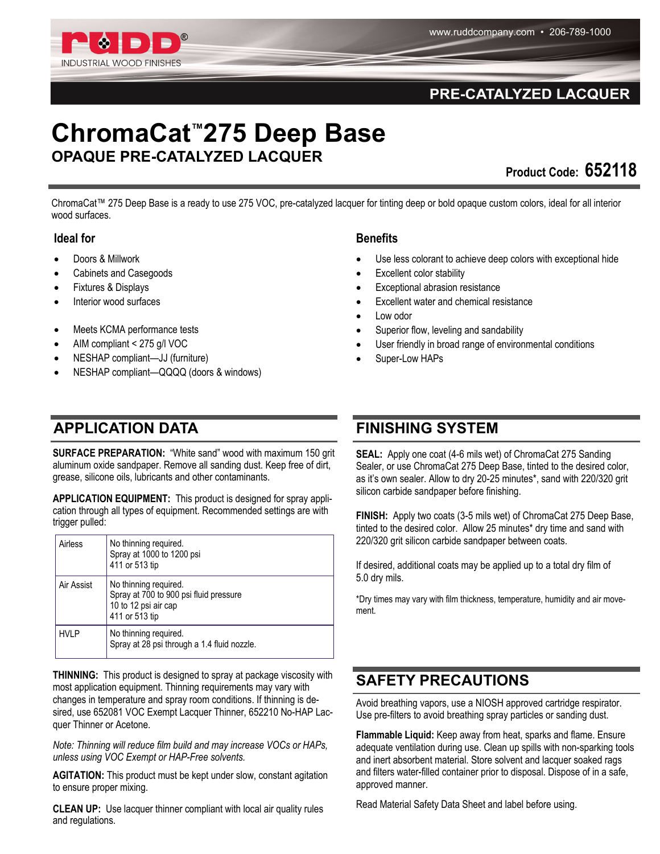

### PRE-CATALYZED LACQUER

# **ChromaCat™275 Deep Base OPAQUE PRE-CATALYZED LACQUER**

**Product Code: 652118** 

ChromaCat™ 275 Deep Base is a ready to use 275 VOC, pre-catalyzed lacquer for tinting deep or bold opaque custom colors, ideal for all interior wood surfaces.

#### **Ideal for**

- Doors & Millwork
- Cabinets and Casegoods
- Fixtures & Displays
- Interior wood surfaces
- Meets KCMA performance tests
- AIM compliant < 275 g/l VOC
- NESHAP compliant—JJ (furniture)
- NESHAP compliant—QQQQ (doors & windows)

## **APPLICATION DATA FINISHING SYSTEM**

**SURFACE PREPARATION:** "White sand" wood with maximum 150 grit aluminum oxide sandpaper. Remove all sanding dust. Keep free of dirt, grease, silicone oils, lubricants and other contaminants.

**APPLICATION EQUIPMENT:** This product is designed for spray application through all types of equipment. Recommended settings are with trigger pulled:

| Airless     | No thinning required.<br>Spray at 1000 to 1200 psi<br>411 or 513 tip                                      |
|-------------|-----------------------------------------------------------------------------------------------------------|
| Air Assist  | No thinning required.<br>Spray at 700 to 900 psi fluid pressure<br>10 to 12 psi air cap<br>411 or 513 tip |
| <b>HVLP</b> | No thinning required.<br>Spray at 28 psi through a 1.4 fluid nozzle.                                      |

**THINNING:** This product is designed to spray at package viscosity with most application equipment. Thinning requirements may vary with changes in temperature and spray room conditions. If thinning is desired, use 652081 VOC Exempt Lacquer Thinner, 652210 No-HAP Lacquer Thinner or Acetone.

*Note: Thinning will reduce film build and may increase VOCs or HAPs, unless using VOC Exempt or HAP-Free solvents.*

**AGITATION:** This product must be kept under slow, constant agitation to ensure proper mixing.

**CLEAN UP:** Use lacquer thinner compliant with local air quality rules and regulations.

#### **Benefits**

- Use less colorant to achieve deep colors with exceptional hide
- Excellent color stability
- Exceptional abrasion resistance
- Excellent water and chemical resistance
- Low odor
- Superior flow, leveling and sandability
- User friendly in broad range of environmental conditions
- Super-Low HAPs

**SEAL:** Apply one coat (4-6 mils wet) of ChromaCat 275 Sanding Sealer, or use ChromaCat 275 Deep Base, tinted to the desired color, as it's own sealer. Allow to dry 20-25 minutes\*, sand with 220/320 grit silicon carbide sandpaper before finishing.

**FINISH:** Apply two coats (3-5 mils wet) of ChromaCat 275 Deep Base, tinted to the desired color. Allow 25 minutes\* dry time and sand with 220/320 grit silicon carbide sandpaper between coats.

If desired, additional coats may be applied up to a total dry film of 5.0 dry mils.

\*Dry times may vary with film thickness, temperature, humidity and air movement.

## **SAFETY PRECAUTIONS**

Avoid breathing vapors, use a NIOSH approved cartridge respirator. Use pre-filters to avoid breathing spray particles or sanding dust.

**Flammable Liquid:** Keep away from heat, sparks and flame. Ensure adequate ventilation during use. Clean up spills with non-sparking tools and inert absorbent material. Store solvent and lacquer soaked rags and filters water-filled container prior to disposal. Dispose of in a safe, approved manner.

Read Material Safety Data Sheet and label before using.